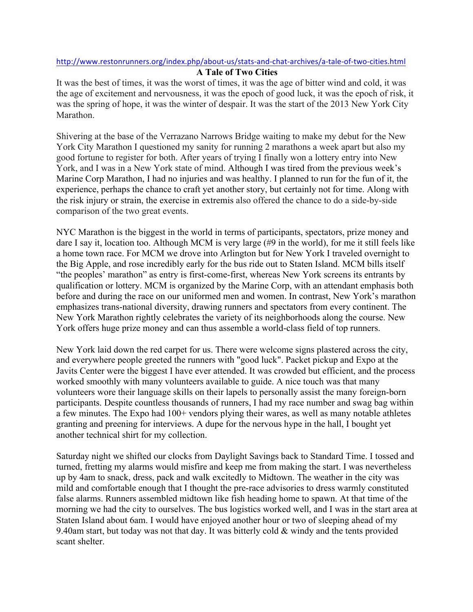## http://www.restonrunners.org/index.php/about-us/stats-and-chat-archives/a-tale-of-two-cities.html

## **A Tale of Two Cities**

It was the best of times, it was the worst of times, it was the age of bitter wind and cold, it was the age of excitement and nervousness, it was the epoch of good luck, it was the epoch of risk, it was the spring of hope, it was the winter of despair. It was the start of the 2013 New York City Marathon.

Shivering at the base of the Verrazano Narrows Bridge waiting to make my debut for the New York City Marathon I questioned my sanity for running 2 marathons a week apart but also my good fortune to register for both. After years of trying I finally won a lottery entry into New York, and I was in a New York state of mind. Although I was tired from the previous week's Marine Corp Marathon, I had no injuries and was healthy. I planned to run for the fun of it, the experience, perhaps the chance to craft yet another story, but certainly not for time. Along with the risk injury or strain, the exercise in extremis also offered the chance to do a side-by-side comparison of the two great events.

NYC Marathon is the biggest in the world in terms of participants, spectators, prize money and dare I say it, location too. Although MCM is very large (#9 in the world), for me it still feels like a home town race. For MCM we drove into Arlington but for New York I traveled overnight to the Big Apple, and rose incredibly early for the bus ride out to Staten Island. MCM bills itself "the peoples' marathon" as entry is first-come-first, whereas New York screens its entrants by qualification or lottery. MCM is organized by the Marine Corp, with an attendant emphasis both before and during the race on our uniformed men and women. In contrast, New York's marathon emphasizes trans-national diversity, drawing runners and spectators from every continent. The New York Marathon rightly celebrates the variety of its neighborhoods along the course. New York offers huge prize money and can thus assemble a world-class field of top runners.

New York laid down the red carpet for us. There were welcome signs plastered across the city, and everywhere people greeted the runners with "good luck". Packet pickup and Expo at the Javits Center were the biggest I have ever attended. It was crowded but efficient, and the process worked smoothly with many volunteers available to guide. A nice touch was that many volunteers wore their language skills on their lapels to personally assist the many foreign-born participants. Despite countless thousands of runners, I had my race number and swag bag within a few minutes. The Expo had 100+ vendors plying their wares, as well as many notable athletes granting and preening for interviews. A dupe for the nervous hype in the hall, I bought yet another technical shirt for my collection.

Saturday night we shifted our clocks from Daylight Savings back to Standard Time. I tossed and turned, fretting my alarms would misfire and keep me from making the start. I was nevertheless up by 4am to snack, dress, pack and walk excitedly to Midtown. The weather in the city was mild and comfortable enough that I thought the pre-race advisories to dress warmly constituted false alarms. Runners assembled midtown like fish heading home to spawn. At that time of the morning we had the city to ourselves. The bus logistics worked well, and I was in the start area at Staten Island about 6am. I would have enjoyed another hour or two of sleeping ahead of my 9.40am start, but today was not that day. It was bitterly cold & windy and the tents provided scant shelter.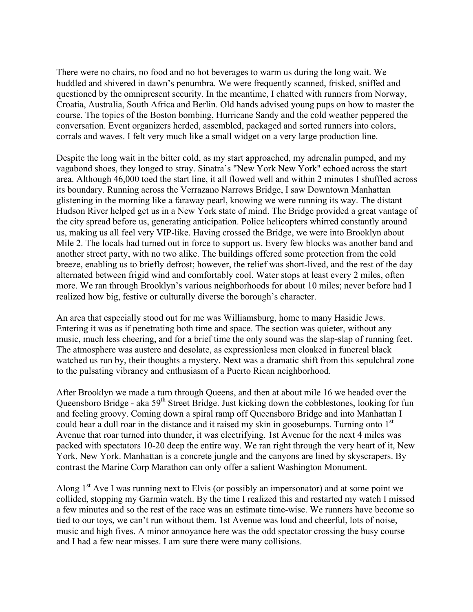There were no chairs, no food and no hot beverages to warm us during the long wait. We huddled and shivered in dawn's penumbra. We were frequently scanned, frisked, sniffed and questioned by the omnipresent security. In the meantime, I chatted with runners from Norway, Croatia, Australia, South Africa and Berlin. Old hands advised young pups on how to master the course. The topics of the Boston bombing, Hurricane Sandy and the cold weather peppered the conversation. Event organizers herded, assembled, packaged and sorted runners into colors, corrals and waves. I felt very much like a small widget on a very large production line.

Despite the long wait in the bitter cold, as my start approached, my adrenalin pumped, and my vagabond shoes, they longed to stray. Sinatra's "New York New York" echoed across the start area. Although 46,000 toed the start line, it all flowed well and within 2 minutes I shuffled across its boundary. Running across the Verrazano Narrows Bridge, I saw Downtown Manhattan glistening in the morning like a faraway pearl, knowing we were running its way. The distant Hudson River helped get us in a New York state of mind. The Bridge provided a great vantage of the city spread before us, generating anticipation. Police helicopters whirred constantly around us, making us all feel very VIP-like. Having crossed the Bridge, we were into Brooklyn about Mile 2. The locals had turned out in force to support us. Every few blocks was another band and another street party, with no two alike. The buildings offered some protection from the cold breeze, enabling us to briefly defrost; however, the relief was short-lived, and the rest of the day alternated between frigid wind and comfortably cool. Water stops at least every 2 miles, often more. We ran through Brooklyn's various neighborhoods for about 10 miles; never before had I realized how big, festive or culturally diverse the borough's character.

An area that especially stood out for me was Williamsburg, home to many Hasidic Jews. Entering it was as if penetrating both time and space. The section was quieter, without any music, much less cheering, and for a brief time the only sound was the slap-slap of running feet. The atmosphere was austere and desolate, as expressionless men cloaked in funereal black watched us run by, their thoughts a mystery. Next was a dramatic shift from this sepulchral zone to the pulsating vibrancy and enthusiasm of a Puerto Rican neighborhood.

After Brooklyn we made a turn through Queens, and then at about mile 16 we headed over the Queensboro Bridge - aka  $59<sup>th</sup>$  Street Bridge. Just kicking down the cobblestones, looking for fun and feeling groovy. Coming down a spiral ramp off Queensboro Bridge and into Manhattan I could hear a dull roar in the distance and it raised my skin in goosebumps. Turning onto  $1<sup>st</sup>$ Avenue that roar turned into thunder, it was electrifying. 1st Avenue for the next 4 miles was packed with spectators 10-20 deep the entire way. We ran right through the very heart of it, New York, New York. Manhattan is a concrete jungle and the canyons are lined by skyscrapers. By contrast the Marine Corp Marathon can only offer a salient Washington Monument.

Along  $1<sup>st</sup>$  Ave I was running next to Elvis (or possibly an impersonator) and at some point we collided, stopping my Garmin watch. By the time I realized this and restarted my watch I missed a few minutes and so the rest of the race was an estimate time-wise. We runners have become so tied to our toys, we can't run without them. 1st Avenue was loud and cheerful, lots of noise, music and high fives. A minor annoyance here was the odd spectator crossing the busy course and I had a few near misses. I am sure there were many collisions.